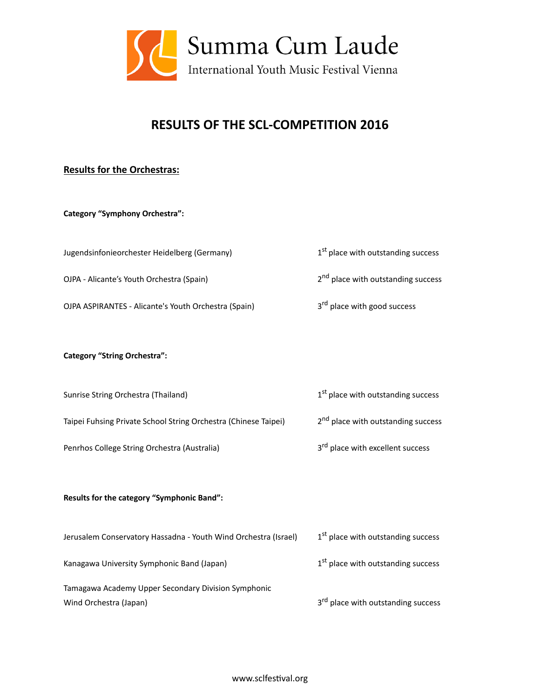

# **RESULTS OF THE SCL-COMPETITION 2016**

## **Results for the Orchestras:**

## **Category "Symphony Orchestra":**

Jugendsinfonieorchester Heidelberg (Germany)  $1^{st}$  place with outstanding success

OJPA - Alicante's Youth Orchestra (Spain)  $2<sup>nd</sup>$  place with outstanding success

OJPA ASPIRANTES - Alicante's Youth Orchestra (Spain)  $3<sup>rd</sup>$  place with good success

## **Category "String Orchestra":**

Sunrise String Orchestra (Thailand) and the string of the string of the success of the success of the success

Taipei Fuhsing Private School String Orchestra (Chinese Taipei) 2<sup>nd</sup> place with outstanding success

Penrhos College String Orchestra (Australia)  $3<sup>rd</sup>$  place with excellent success

## Results for the category "Symphonic Band":

| Jerusalem Conservatory Hassadna - Youth Wind Orchestra (Israel) | 1 <sup>st</sup> place with outstanding success |
|-----------------------------------------------------------------|------------------------------------------------|
| Kanagawa University Symphonic Band (Japan)                      | 1 <sup>st</sup> place with outstanding success |
| Tamagawa Academy Upper Secondary Division Symphonic             |                                                |
| Wind Orchestra (Japan)                                          | 3 <sup>rd</sup> place with outstanding success |